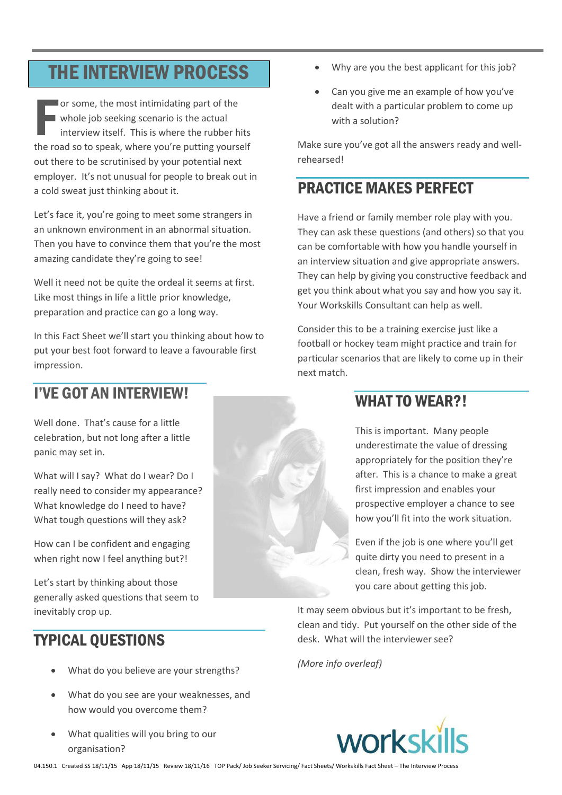# **THE INTERVIEW PROCESS**

or some, the most intimidating part of the whole job seeking scenario is the actual interview itself. This is where the rubber hits the road so to speak, where you're putting yourself out there to be scrutinised by your potential next employer. It's not unusual for people to break out in a cold sweat just thinking about it.

Let's face it, you're going to meet some strangers in an unknown environment in an abnormal situation. Then you have to convince them that you're the most amazing candidate they're going to see!

Well it need not be quite the ordeal it seems at first. Like most things in life a little prior knowledge, preparation and practice can go a long way.

In this Fact Sheet we'll start you thinking about how to put your best foot forward to leave a favourable first impression.

# **I'VE GOT AN INTERVIEW!**

Well done. That's cause for a little celebration, but not long after a little panic may set in.

What will I say? What do I wear? Do I really need to consider my appearance? What knowledge do I need to have? What tough questions will they ask?

How can I be confident and engaging when right now I feel anything but?!

Let's start by thinking about those generally asked questions that seem to inevitably crop up.

# **TYPICAL OUESTIONS**

- What do you believe are your strengths?
- What do you see are your weaknesses, and how would you overcome them?
- What qualities will you bring to our organisation?
- Why are you the best applicant for this job?
- Can you give me an example of how you've dealt with a particular problem to come up with a solution?

Make sure you've got all the answers ready and wellrehearsed!

# **PRACTICE MAKES PERFECT**

Have a friend or family member role play with you. They can ask these questions (and others) so that you can be comfortable with how you handle yourself in an interview situation and give appropriate answers. They can help by giving you constructive feedback and get you think about what you say and how you say it. Your Workskills Consultant can help as well.

Consider this to be a training exercise just like a football or hockey team might practice and train for particular scenarios that are likely to come up in their next match.

# **WHAT TO WEAR?!**

This is important. Many people underestimate the value of dressing appropriately for the position they're after. This is a chance to make a great first impression and enables your prospective employer a chance to see how you'll fit into the work situation.

Even if the job is one where you'll get quite dirty you need to present in a clean, fresh way. Show the interviewer you care about getting this job.

It may seem obvious but it's important to be fresh, clean and tidy. Put yourself on the other side of the desk. What will the interviewer see?

(More info overleaf)